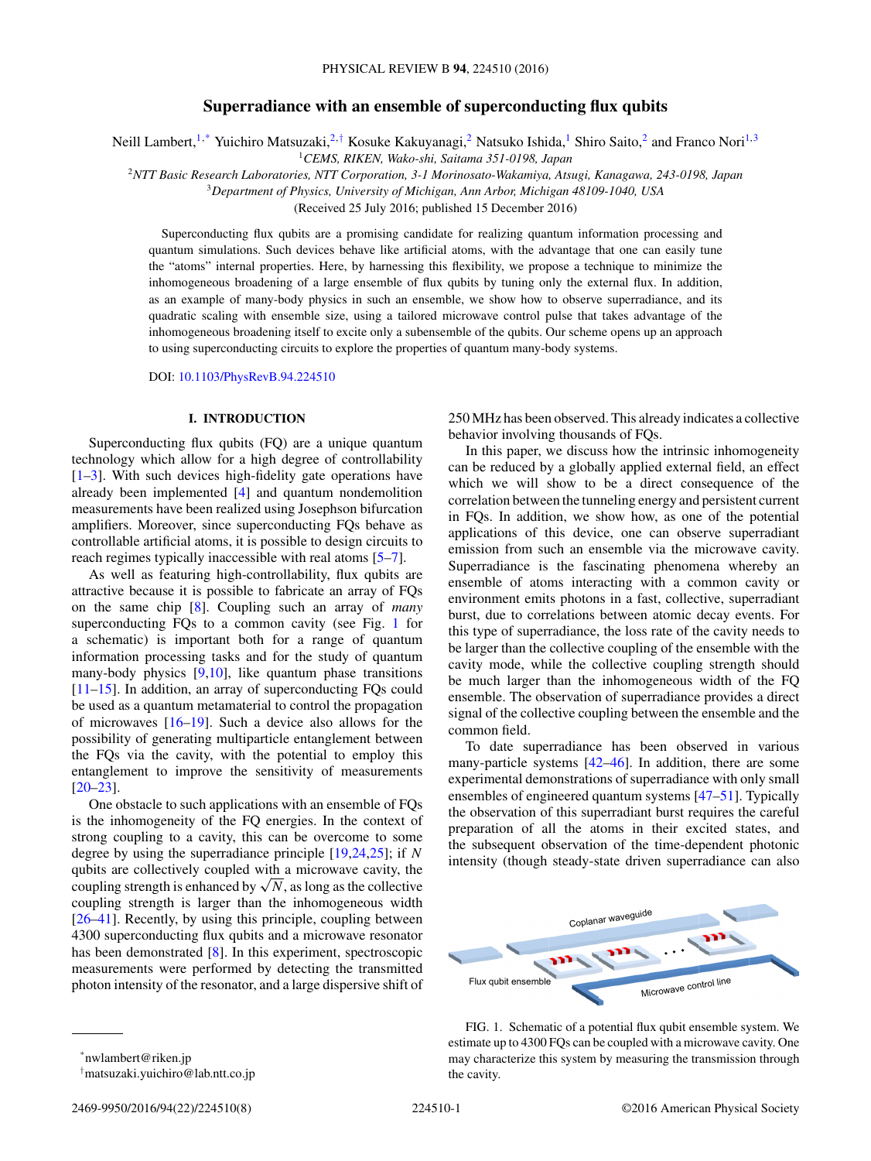# **Superradiance with an ensemble of superconducting flux qubits**

<span id="page-0-0"></span>Neill Lambert,<sup>1,\*</sup> Yuichiro Matsuzaki,<sup>2,†</sup> Kosuke Kakuyanagi,<sup>2</sup> Natsuko Ishida,<sup>1</sup> Shiro Saito,<sup>2</sup> and Franco Nori<sup>1,3</sup>

<sup>1</sup>*CEMS, RIKEN, Wako-shi, Saitama 351-0198, Japan*

<sup>2</sup>*NTT Basic Research Laboratories, NTT Corporation, 3-1 Morinosato-Wakamiya, Atsugi, Kanagawa, 243-0198, Japan*

<sup>3</sup>*Department of Physics, University of Michigan, Ann Arbor, Michigan 48109-1040, USA*

(Received 25 July 2016; published 15 December 2016)

Superconducting flux qubits are a promising candidate for realizing quantum information processing and quantum simulations. Such devices behave like artificial atoms, with the advantage that one can easily tune the "atoms" internal properties. Here, by harnessing this flexibility, we propose a technique to minimize the inhomogeneous broadening of a large ensemble of flux qubits by tuning only the external flux. In addition, as an example of many-body physics in such an ensemble, we show how to observe superradiance, and its quadratic scaling with ensemble size, using a tailored microwave control pulse that takes advantage of the inhomogeneous broadening itself to excite only a subensemble of the qubits. Our scheme opens up an approach to using superconducting circuits to explore the properties of quantum many-body systems.

DOI: [10.1103/PhysRevB.94.224510](https://doi.org/10.1103/PhysRevB.94.224510)

### **I. INTRODUCTION**

Superconducting flux qubits (FQ) are a unique quantum technology which allow for a high degree of controllability  $[1–3]$ . With such devices high-fidelity gate operations have already been implemented [\[4\]](#page-5-0) and quantum nondemolition measurements have been realized using Josephson bifurcation amplifiers. Moreover, since superconducting FQs behave as controllable artificial atoms, it is possible to design circuits to reach regimes typically inaccessible with real atoms [\[5–7\]](#page-5-0).

As well as featuring high-controllability, flux qubits are attractive because it is possible to fabricate an array of FQs on the same chip [\[8\]](#page-5-0). Coupling such an array of *many* superconducting FQs to a common cavity (see Fig. 1 for a schematic) is important both for a range of quantum information processing tasks and for the study of quantum many-body physics [\[9,10\]](#page-5-0), like quantum phase transitions [\[11–15\]](#page-5-0). In addition, an array of superconducting FQs could be used as a quantum metamaterial to control the propagation of microwaves [\[16–19\]](#page-5-0). Such a device also allows for the possibility of generating multiparticle entanglement between the FQs via the cavity, with the potential to employ this entanglement to improve the sensitivity of measurements [\[20–23\]](#page-6-0).

One obstacle to such applications with an ensemble of FQs is the inhomogeneity of the FQ energies. In the context of strong coupling to a cavity, this can be overcome to some degree by using the superradiance principle [\[19,](#page-5-0)[24,25\]](#page-6-0); if *N* qubits are collectively coupled with a microwave cavity, the coupling strength is enhanced by  $\sqrt{N}$ , as long as the collective coupling strength is larger than the inhomogeneous width [\[26–41\]](#page-6-0). Recently, by using this principle, coupling between 4300 superconducting flux qubits and a microwave resonator has been demonstrated [\[8\]](#page-5-0). In this experiment, spectroscopic measurements were performed by detecting the transmitted photon intensity of the resonator, and a large dispersive shift of 250 MHz has been observed. This already indicates a collective behavior involving thousands of FQs.

In this paper, we discuss how the intrinsic inhomogeneity can be reduced by a globally applied external field, an effect which we will show to be a direct consequence of the correlation between the tunneling energy and persistent current in FQs. In addition, we show how, as one of the potential applications of this device, one can observe superradiant emission from such an ensemble via the microwave cavity. Superradiance is the fascinating phenomena whereby an ensemble of atoms interacting with a common cavity or environment emits photons in a fast, collective, superradiant burst, due to correlations between atomic decay events. For this type of superradiance, the loss rate of the cavity needs to be larger than the collective coupling of the ensemble with the cavity mode, while the collective coupling strength should be much larger than the inhomogeneous width of the FQ ensemble. The observation of superradiance provides a direct signal of the collective coupling between the ensemble and the common field.

To date superradiance has been observed in various many-particle systems [\[42–46\]](#page-6-0). In addition, there are some experimental demonstrations of superradiance with only small ensembles of engineered quantum systems [\[47–51\]](#page-6-0). Typically the observation of this superradiant burst requires the careful preparation of all the atoms in their excited states, and the subsequent observation of the time-dependent photonic intensity (though steady-state driven superradiance can also



FIG. 1. Schematic of a potential flux qubit ensemble system. We estimate up to 4300 FQs can be coupled with a microwave cavity. One may characterize this system by measuring the transmission through the cavity.

<sup>†</sup> matsuzaki.yuichiro@lab.ntt.co.jp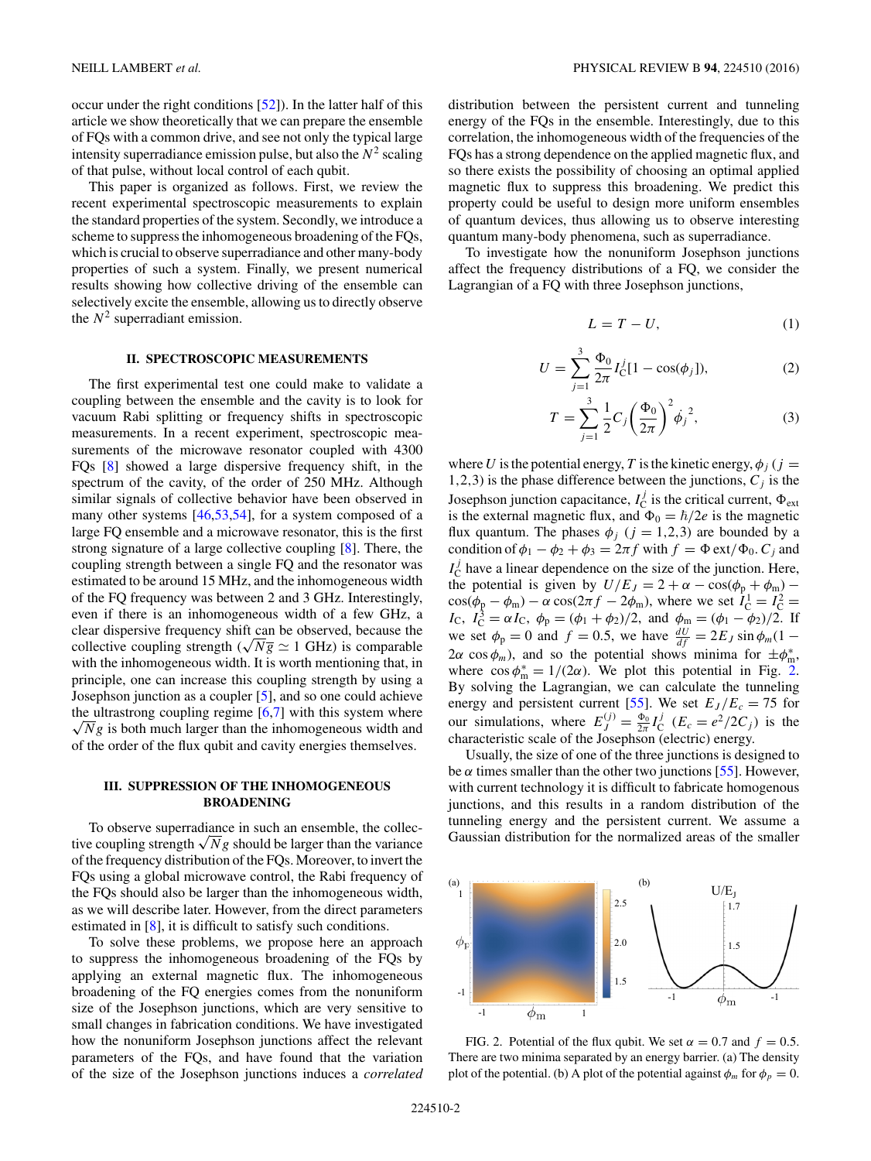occur under the right conditions [\[52\]](#page-7-0)). In the latter half of this article we show theoretically that we can prepare the ensemble of FQs with a common drive, and see not only the typical large intensity superradiance emission pulse, but also the  $N^2$  scaling of that pulse, without local control of each qubit.

This paper is organized as follows. First, we review the recent experimental spectroscopic measurements to explain the standard properties of the system. Secondly, we introduce a scheme to suppress the inhomogeneous broadening of the FQs, which is crucial to observe superradiance and other many-body properties of such a system. Finally, we present numerical results showing how collective driving of the ensemble can selectively excite the ensemble, allowing us to directly observe the  $N^2$  superradiant emission.

#### **II. SPECTROSCOPIC MEASUREMENTS**

The first experimental test one could make to validate a coupling between the ensemble and the cavity is to look for vacuum Rabi splitting or frequency shifts in spectroscopic measurements. In a recent experiment, spectroscopic measurements of the microwave resonator coupled with 4300 FQs [\[8\]](#page-5-0) showed a large dispersive frequency shift, in the spectrum of the cavity, of the order of 250 MHz. Although similar signals of collective behavior have been observed in many other systems [\[46](#page-6-0)[,53,54\]](#page-7-0), for a system composed of a large FQ ensemble and a microwave resonator, this is the first strong signature of a large collective coupling [\[8\]](#page-5-0). There, the coupling strength between a single FQ and the resonator was estimated to be around 15 MHz, and the inhomogeneous width of the FQ frequency was between 2 and 3 GHz. Interestingly, even if there is an inhomogeneous width of a few GHz, a clear dispersive frequency shift can be observed, because the collective coupling strength ( $\sqrt{Ng} \simeq 1$  GHz) is comparable with the inhomogeneous width. It is worth mentioning that, in principle, one can increase this coupling strength by using a Josephson junction as a coupler [\[5\]](#page-5-0), and so one could achieve the ultrastrong coupling regime [ [6,7\]](#page-5-0) with this system where  $\sqrt{N}g$  is both much larger than the inhomogeneous width and of the order of the flux qubit and cavity energies themselves.

# **III. SUPPRESSION OF THE INHOMOGENEOUS BROADENING**

To observe superradiance in such an ensemble, the collective coupling strength  $\sqrt{N}g$  should be larger than the variance of the frequency distribution of the FQs. Moreover, to invert the FQs using a global microwave control, the Rabi frequency of the FQs should also be larger than the inhomogeneous width, as we will describe later. However, from the direct parameters estimated in [\[8\]](#page-5-0), it is difficult to satisfy such conditions.

To solve these problems, we propose here an approach to suppress the inhomogeneous broadening of the FQs by applying an external magnetic flux. The inhomogeneous broadening of the FQ energies comes from the nonuniform size of the Josephson junctions, which are very sensitive to small changes in fabrication conditions. We have investigated how the nonuniform Josephson junctions affect the relevant parameters of the FQs, and have found that the variation of the size of the Josephson junctions induces a *correlated* distribution between the persistent current and tunneling energy of the FQs in the ensemble. Interestingly, due to this correlation, the inhomogeneous width of the frequencies of the FQs has a strong dependence on the applied magnetic flux, and so there exists the possibility of choosing an optimal applied magnetic flux to suppress this broadening. We predict this property could be useful to design more uniform ensembles of quantum devices, thus allowing us to observe interesting quantum many-body phenomena, such as superradiance.

To investigate how the nonuniform Josephson junctions affect the frequency distributions of a FQ, we consider the Lagrangian of a FQ with three Josephson junctions,

$$
L = T - U,\t\t(1)
$$

$$
U = \sum_{j=1}^{3} \frac{\Phi_0}{2\pi} I_C^j [1 - \cos(\phi_j)], \qquad (2)
$$

$$
T = \sum_{j=1}^{3} \frac{1}{2} C_j \left(\frac{\Phi_0}{2\pi}\right)^2 \dot{\phi}_j^2,
$$
 (3)

where *U* is the potential energy, *T* is the kinetic energy,  $\phi_i$  (*j* = 1,2,3) is the phase difference between the junctions,  $C_i$  is the Josephson junction capacitance,  $I_C^j$  is the critical current,  $\Phi_{\text{ext}}$ is the external magnetic flux, and  $\Phi_0 = \hbar/2e$  is the magnetic flux quantum. The phases  $\phi_j$  ( $j = 1,2,3$ ) are bounded by a condition of  $\phi_1 - \phi_2 + \phi_3 = 2\pi f$  with  $f = \Phi \text{ ext}/\Phi_0$ .  $C_j$  and  $I_{\rm C}^{j}$  have a linear dependence on the size of the junction. Here, the potential is given by  $U/E_J = 2 + \alpha - \cos(\phi_p + \phi_m) \cos(\phi_p - \phi_m) - \alpha \cos(2\pi f - 2\phi_m)$ , where we set  $\hat{I}_{C}^1 = I_{C}^2 = I_{C}$ ,  $I_{C}^3 = \alpha I_{C}$ ,  $\phi_p = (\phi_1 + \phi_2)/2$ , and  $\phi_m = (\phi_1 - \phi_2)/2$ . If we set  $\phi_p = 0$  and  $f = 0.5$ , we have  $\frac{dU}{df} = 2E_J \sin \phi_m (1 2\alpha \cos \phi_m$ ), and so the potential shows minima for  $\pm \phi_m^*$ , where  $\cos \phi_m^* = 1/(2\alpha)$ . We plot this potential in Fig. 2. By solving the Lagrangian, we can calculate the tunneling energy and persistent current [\[55\]](#page-7-0). We set  $E_J/E_c = 75$  for our simulations, where  $E_j^{(j)} = \frac{\Phi_0}{2\pi} I_C^j$  ( $E_c = e^2/2C_j$ ) is the characteristic scale of the Josephson (electric) energy.

Usually, the size of one of the three junctions is designed to be  $\alpha$  times smaller than the other two junctions [\[55\]](#page-7-0). However, with current technology it is difficult to fabricate homogenous junctions, and this results in a random distribution of the tunneling energy and the persistent current. We assume a Gaussian distribution for the normalized areas of the smaller



FIG. 2. Potential of the flux qubit. We set  $\alpha = 0.7$  and  $f = 0.5$ . There are two minima separated by an energy barrier. (a) The density plot of the potential. (b) A plot of the potential against  $\phi_m$  for  $\phi_p = 0$ .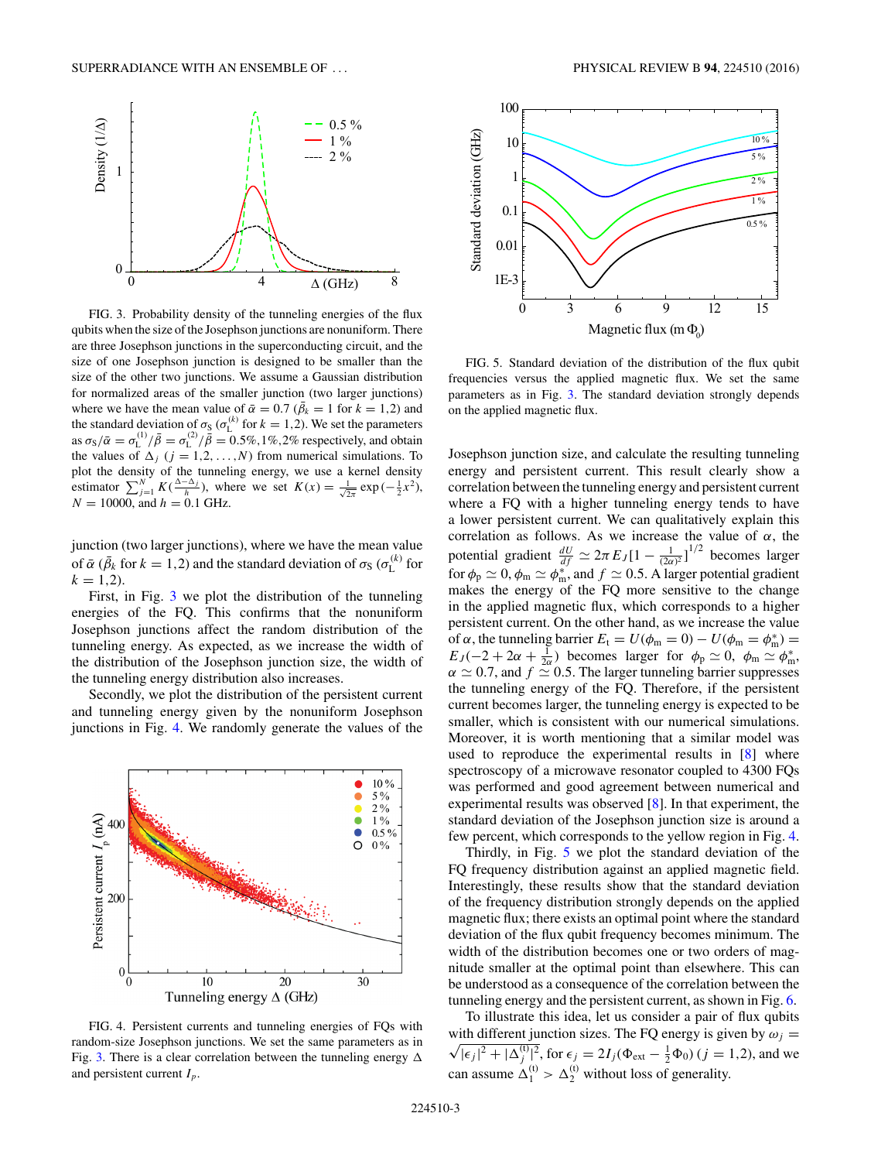<span id="page-2-0"></span>

FIG. 3. Probability density of the tunneling energies of the flux qubits when the size of the Josephson junctions are nonuniform. There are three Josephson junctions in the superconducting circuit, and the size of one Josephson junction is designed to be smaller than the size of the other two junctions. We assume a Gaussian distribution for normalized areas of the smaller junction (two larger junctions) where we have the mean value of  $\bar{\alpha} = 0.7$  ( $\bar{\beta}_k = 1$  for  $k = 1, 2$ ) and the standard deviation of  $\sigma_S (\sigma_k^{(k)}$  for  $k = 1, 2$ ). We set the parameters as  $\sigma_S/\bar{\alpha} = \sigma_L^{(1)}/\bar{\beta} = \sigma_L^{(2)}/\bar{\beta} = 0.5\%, 1\%, 2\%$  respectively, and obtain the values of  $\Delta_j$  ( $j = 1, 2, ..., N$ ) from numerical simulations. To plot the density of the tunneling energy, we use a kernel density estimator  $\sum_{j=1}^{N} K(\frac{\Delta - \Delta_j}{h})$ , where we set  $K(x) = \frac{1}{\sqrt{2\pi}} \exp(-\frac{1}{2}x^2)$ ,  $N = 10000$ , and  $h = 0.1$  GHz.

junction (two larger junctions), where we have the mean value of  $\bar{\alpha}$  ( $\bar{\beta}_k$  for  $k = 1, 2$ ) and the standard deviation of  $\sigma_S$  ( $\sigma_L^{(k)}$  for  $k = 1,2$ .

First, in Fig. 3 we plot the distribution of the tunneling energies of the FQ. This confirms that the nonuniform Josephson junctions affect the random distribution of the tunneling energy. As expected, as we increase the width of the distribution of the Josephson junction size, the width of the tunneling energy distribution also increases.

Secondly, we plot the distribution of the persistent current and tunneling energy given by the nonuniform Josephson junctions in Fig. 4. We randomly generate the values of the



FIG. 4. Persistent currents and tunneling energies of FQs with random-size Josephson junctions. We set the same parameters as in Fig. 3. There is a clear correlation between the tunneling energy  $\Delta$ and persistent current *Ip*.



FIG. 5. Standard deviation of the distribution of the flux qubit frequencies versus the applied magnetic flux. We set the same parameters as in Fig. 3. The standard deviation strongly depends on the applied magnetic flux.

Josephson junction size, and calculate the resulting tunneling energy and persistent current. This result clearly show a correlation between the tunneling energy and persistent current where a FQ with a higher tunneling energy tends to have a lower persistent current. We can qualitatively explain this correlation as follows. As we increase the value of *α*, the potential gradient  $\frac{dU}{df} \simeq 2\pi E_J [1 - \frac{1}{(2\alpha)^2}]^{1/2}$  becomes larger for  $\phi_{\rm p} \simeq 0$ ,  $\phi_{\rm m} \simeq \phi_{\rm m}^*$ , and  $f \simeq 0.5$ . A larger potential gradient makes the energy of the FQ more sensitive to the change in the applied magnetic flux, which corresponds to a higher persistent current. On the other hand, as we increase the value of *α*, the tunneling barrier  $E_t = U(\phi_m = 0) - U(\phi_m = \phi_m^*)$  =  $E_J(-2+2\alpha+\frac{1}{2\alpha})$  becomes larger for  $\phi_p \simeq 0$ ,  $\phi_m \simeq \phi_m^*$ ,  $\alpha \simeq 0.7$ , and  $f \simeq 0.5$ . The larger tunneling barrier suppresses the tunneling energy of the FQ. Therefore, if the persistent current becomes larger, the tunneling energy is expected to be smaller, which is consistent with our numerical simulations. Moreover, it is worth mentioning that a similar model was used to reproduce the experimental results in [\[8\]](#page-5-0) where spectroscopy of a microwave resonator coupled to 4300 FQs was performed and good agreement between numerical and experimental results was observed [\[8\]](#page-5-0). In that experiment, the standard deviation of the Josephson junction size is around a few percent, which corresponds to the yellow region in Fig. 4.

Thirdly, in Fig. 5 we plot the standard deviation of the FQ frequency distribution against an applied magnetic field. Interestingly, these results show that the standard deviation of the frequency distribution strongly depends on the applied magnetic flux; there exists an optimal point where the standard deviation of the flux qubit frequency becomes minimum. The width of the distribution becomes one or two orders of magnitude smaller at the optimal point than elsewhere. This can be understood as a consequence of the correlation between the tunneling energy and the persistent current, as shown in Fig. [6.](#page-3-0)

To illustrate this idea, let us consider a pair of flux qubits with different junction sizes. The FQ energy is given by  $\omega_j =$  $\sqrt{|\epsilon_j|^2 + |\Delta_j^{(t)}|^2}$ , for  $\epsilon_j = 2I_j(\Phi_{ext} - \frac{1}{2}\Phi_0)$  (*j* = 1,2), and we can assume  $\Delta_1^{(t)} > \Delta_2^{(t)}$  without loss of generality.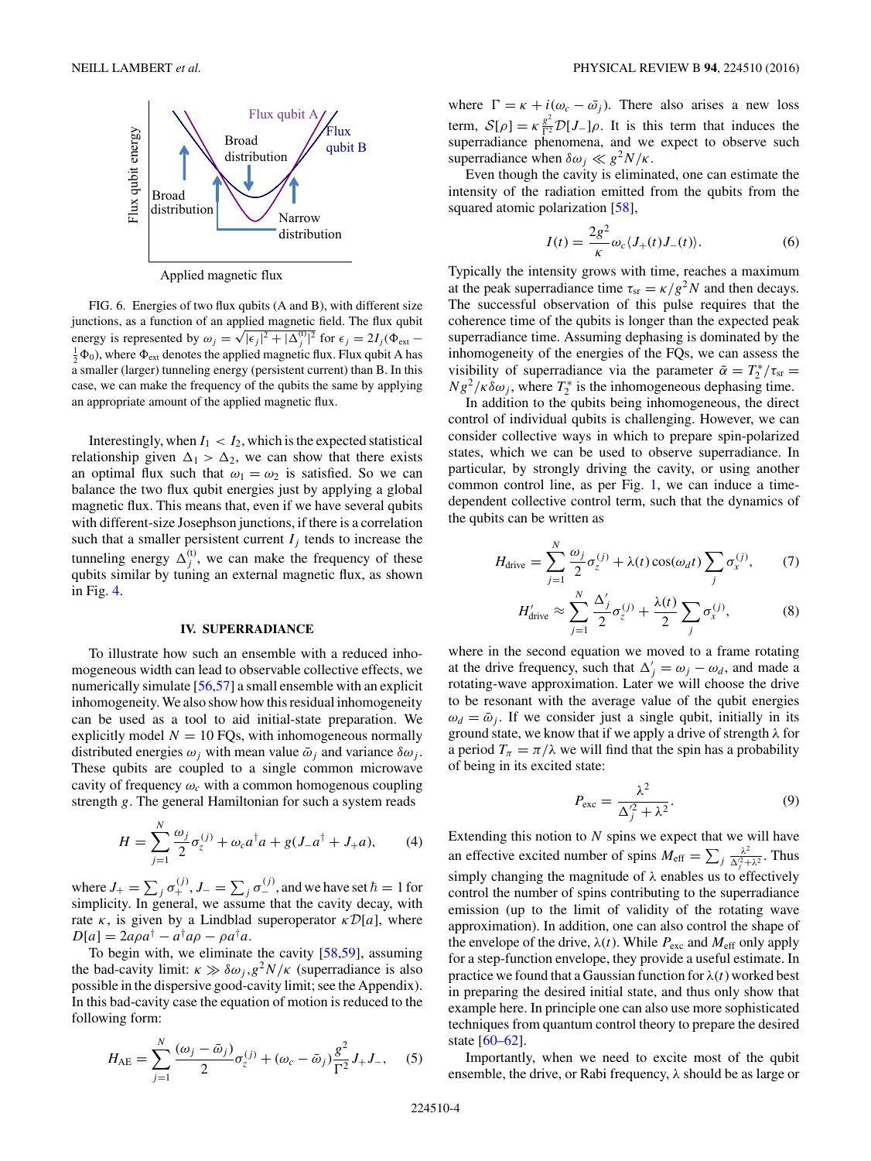<span id="page-3-0"></span>

Applied magnetic flux

FIG. 6. Energies of two flux qubits (A and B), with different size junctions, as a function of an applied magnetic field. The flux qubit energy is represented by  $\omega_j = \sqrt{|\epsilon_j|^2 + |\Delta_{ij}^{(1)}|^2}$  for  $\epsilon_j = 2I_j(\Phi_{ext} - \Phi_{ext})$  is represented by  $\omega_j = \sqrt{|\epsilon_j|^2 + |\Delta_{ij}^{(1)}|^2}$  for  $\epsilon_j = 2I_j(\Phi_{ext})$  and  $\frac{1}{2}\Phi_0$ ), where  $\Phi_{ext}$  denotes the applied magnetic flux. Flux qubit A has a smaller (larger) tunneling energy (persistent current) than B. In this case, we can make the frequency of the qubits the same by applying an appropriate amount of the applied magnetic flux.

Interestingly, when  $I_1 < I_2$ , which is the expected statistical relationship given  $\Delta_1 > \Delta_2$ , we can show that there exists an optimal flux such that  $\omega_1 = \omega_2$  is satisfied. So we can balance the two flux qubit energies just by applying a global magnetic flux. This means that, even if we have several qubits with different-size Josephson junctions, if there is a correlation such that a smaller persistent current  $I_j$  tends to increase the tunneling energy  $\Delta_j^{(t)}$ , we can make the frequency of these qubits similar by tuning an external magnetic flux, as shown in Fig. [4.](#page-2-0)

#### **IV. SUPERRADIANCE**

To illustrate how such an ensemble with a reduced inhomogeneous width can lead to observable collective effects, we numerically simulate [\[56,57\]](#page-7-0) a small ensemble with an explicit inhomogeneity. We also show how this residual inhomogeneity can be used as a tool to aid initial-state preparation. We explicitly model  $N = 10$  FQs, with inhomogeneous normally distributed energies  $\omega_i$  with mean value  $\bar{\omega}_i$  and variance  $\delta \omega_i$ . These qubits are coupled to a single common microwave cavity of frequency  $\omega_c$  with a common homogenous coupling strength *g*. The general Hamiltonian for such a system reads

$$
H = \sum_{j=1}^{N} \frac{\omega_j}{2} \sigma_z^{(j)} + \omega_c a^{\dagger} a + g(J_- a^{\dagger} + J_+ a), \tag{4}
$$

where  $J_+ = \sum_j \sigma_+^{(j)}$ ,  $J_- = \sum_j \sigma_-^{(j)}$ , and we have set  $\hbar = 1$  for simplicity. In general, we assume that the cavity decay, with rate  $\kappa$ , is given by a Lindblad superoperator  $\kappa \mathcal{D}[a]$ , where  $D[a] = 2a\rho a^{\dagger} - a^{\dagger}a\rho - \rho a^{\dagger}a.$ 

To begin with, we eliminate the cavity [\[58,59\]](#page-7-0), assuming the bad-cavity limit:  $\kappa \gg \delta \omega_j g^2 N/\kappa$  (superradiance is also possible in the dispersive good-cavity limit; see the Appendix). In this bad-cavity case the equation of motion is reduced to the following form:

$$
H_{\text{AE}} = \sum_{j=1}^{N} \frac{(\omega_j - \bar{\omega}_j)}{2} \sigma_z^{(j)} + (\omega_c - \bar{\omega}_j) \frac{g^2}{\Gamma^2} J_+ J_-, \quad (5)
$$

where  $\Gamma = \kappa + i(\omega_c - \bar{\omega}_i)$ . There also arises a new loss term,  $S[\rho] = \kappa \frac{g^2}{\Gamma^2} D[J_{-}]\rho$ . It is this term that induces the superradiance phenomena, and we expect to observe such superradiance when  $\delta \omega_i \ll g^2 N / \kappa$ .

Even though the cavity is eliminated, one can estimate the intensity of the radiation emitted from the qubits from the squared atomic polarization [\[58\]](#page-7-0),

$$
I(t) = \frac{2g^2}{\kappa} \omega_c \langle J_+(t)J_-(t) \rangle.
$$
 (6)

Typically the intensity grows with time, reaches a maximum at the peak superradiance time  $\tau_{sr} = \kappa / g^2 N$  and then decays. The successful observation of this pulse requires that the coherence time of the qubits is longer than the expected peak superradiance time. Assuming dephasing is dominated by the inhomogeneity of the energies of the FQs, we can assess the visibility of superradiance via the parameter  $\tilde{\alpha} = T_2^* / \tau_{sr} =$  $Ng^2/\kappa \delta \omega_j$ , where  $T_2^*$  is the inhomogeneous dephasing time.

In addition to the qubits being inhomogeneous, the direct control of individual qubits is challenging. However, we can consider collective ways in which to prepare spin-polarized states, which we can be used to observe superradiance. In particular, by strongly driving the cavity, or using another common control line, as per Fig. [1,](#page-0-0) we can induce a timedependent collective control term, such that the dynamics of the qubits can be written as

$$
H_{\text{drive}} = \sum_{j=1}^{N} \frac{\omega_j}{2} \sigma_z^{(j)} + \lambda(t) \cos(\omega_d t) \sum_j \sigma_x^{(j)},\qquad(7)
$$

$$
H'_{\text{drive}} \approx \sum_{j=1}^{N} \frac{\Delta'_j}{2} \sigma_z^{(j)} + \frac{\lambda(t)}{2} \sum_j \sigma_x^{(j)}, \tag{8}
$$

where in the second equation we moved to a frame rotating at the drive frequency, such that  $\Delta'_{j} = \omega_{j} - \omega_{d}$ , and made a rotating-wave approximation. Later we will choose the drive to be resonant with the average value of the qubit energies  $\omega_d = \bar{\omega}_j$ . If we consider just a single qubit, initially in its ground state, we know that if we apply a drive of strength *λ* for a period  $T_\pi = \pi/\lambda$  we will find that the spin has a probability of being in its excited state:

$$
P_{\text{exc}} = \frac{\lambda^2}{\Delta_j^2 + \lambda^2}.
$$
 (9)

Extending this notion to *N* spins we expect that we will have an effective excited number of spins  $M_{\text{eff}} = \sum_j \frac{\lambda^2}{\Delta_i^2 + \Delta_j^2}$  $\frac{\lambda^2}{\Delta_j^2 + \lambda^2}$ . Thus simply changing the magnitude of *λ* enables us to effectively control the number of spins contributing to the superradiance emission (up to the limit of validity of the rotating wave approximation). In addition, one can also control the shape of the envelope of the drive,  $\lambda(t)$ . While  $P_{\text{exc}}$  and  $M_{\text{eff}}$  only apply for a step-function envelope, they provide a useful estimate. In practice we found that a Gaussian function for  $\lambda(t)$  worked best in preparing the desired initial state, and thus only show that example here. In principle one can also use more sophisticated techniques from quantum control theory to prepare the desired state [\[60–62\]](#page-7-0).

Importantly, when we need to excite most of the qubit ensemble, the drive, or Rabi frequency, *λ* should be as large or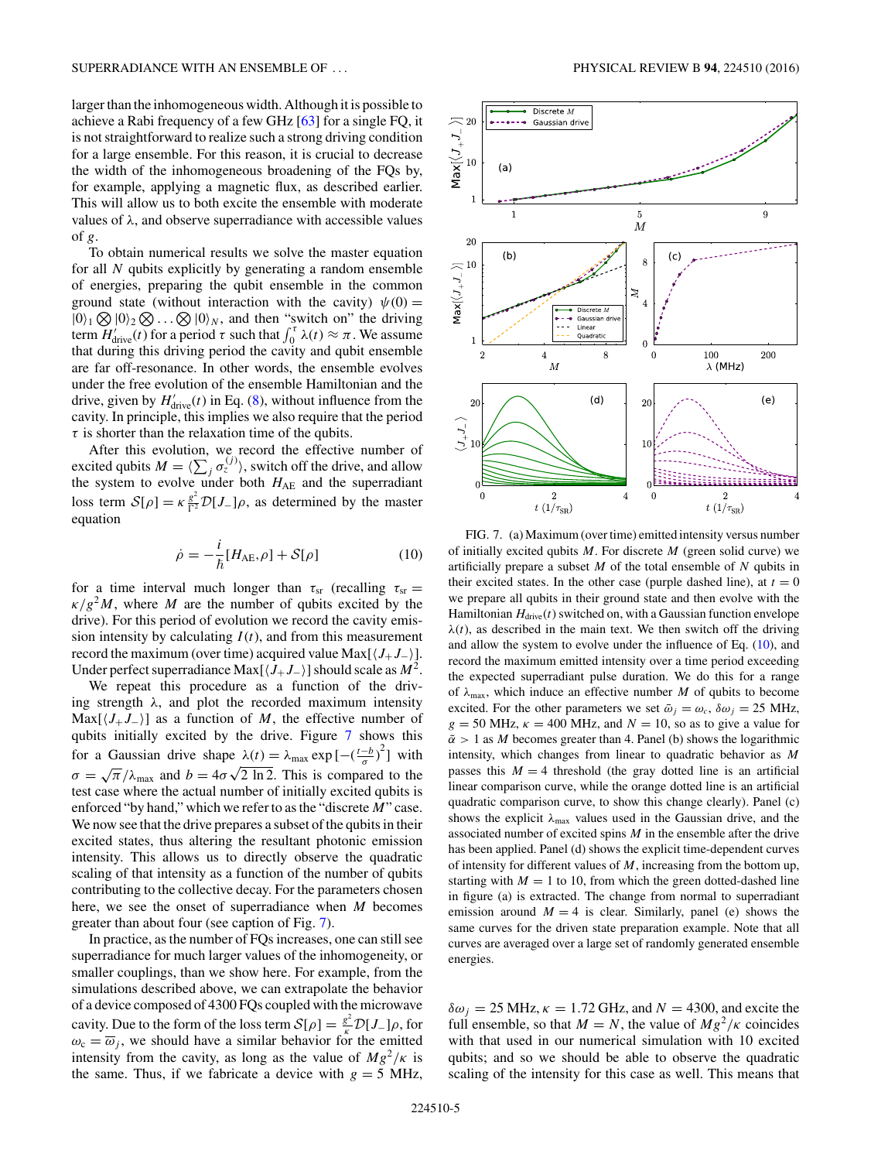larger than the inhomogeneous width. Although it is possible to achieve a Rabi frequency of a few GHz [\[63\]](#page-7-0) for a single FQ, it is not straightforward to realize such a strong driving condition for a large ensemble. For this reason, it is crucial to decrease the width of the inhomogeneous broadening of the FQs by, for example, applying a magnetic flux, as described earlier. This will allow us to both excite the ensemble with moderate values of *λ*, and observe superradiance with accessible values of *g*.

To obtain numerical results we solve the master equation for all *N* qubits explicitly by generating a random ensemble of energies, preparing the qubit ensemble in the common ground state (without interaction with the cavity)  $\psi(0) =$  $|0\rangle_1 \bigotimes |0\rangle_2 \bigotimes \ldots \bigotimes |0\rangle_N$ , and then "switch on" the driving term  $H'_{\text{drive}}(t)$  for a period  $\tau$  such that  $\int_0^{\tau} \lambda(t) \approx \pi$ . We assume that during this driving period the cavity and qubit ensemble are far off-resonance. In other words, the ensemble evolves under the free evolution of the ensemble Hamiltonian and the drive, given by  $H'_{\text{drive}}(t)$  in Eq. [\(8\)](#page-3-0), without influence from the cavity. In principle, this implies we also require that the period  $\tau$  is shorter than the relaxation time of the qubits.

After this evolution, we record the effective number of excited qubits  $M = \langle \sum_j \sigma_z^{(j)} \rangle$ , switch off the drive, and allow the system to evolve under both  $H_{AE}$  and the superradiant loss term  $S[\rho] = \kappa \frac{g^2}{\Gamma^2} \mathcal{D}[J_{-}]\rho$ , as determined by the master equation

$$
\dot{\rho} = -\frac{i}{\hbar} [H_{\text{AE}}, \rho] + \mathcal{S}[\rho] \tag{10}
$$

for a time interval much longer than  $\tau_{sr}$  (recalling  $\tau_{sr}$  $\kappa/g^2M$ , where *M* are the number of qubits excited by the drive). For this period of evolution we record the cavity emission intensity by calculating  $I(t)$ , and from this measurement record the maximum (over time) acquired value Max $[*J*<sub>+</sub>*J*<sub>−</sub>$ ). Under perfect superradiance Max $\left[\langle J_+ J_-\rangle\right]$  should scale as  $M^2$ .

We repeat this procedure as a function of the driving strength *λ*, and plot the recorded maximum intensity  $Max[\langle J_+J_- \rangle]$  as a function of *M*, the effective number of qubits initially excited by the drive. Figure 7 shows this for a Gaussian drive shape  $\lambda(t) = \lambda_{\text{max}} \exp\left[-\left(\frac{t-b}{\sigma}\right)^2\right]$  with  $\sigma = \sqrt{\pi}/\lambda_{\text{max}}$  and  $b = 4\sigma\sqrt{2 \ln 2}$ . This is compared to the test case where the actual number of initially excited qubits is enforced "by hand," which we refer to as the "discrete *M*" case. We now see that the drive prepares a subset of the qubits in their excited states, thus altering the resultant photonic emission intensity. This allows us to directly observe the quadratic scaling of that intensity as a function of the number of qubits contributing to the collective decay. For the parameters chosen here, we see the onset of superradiance when *M* becomes greater than about four (see caption of Fig. 7).

In practice, as the number of FQs increases, one can still see superradiance for much larger values of the inhomogeneity, or smaller couplings, than we show here. For example, from the simulations described above, we can extrapolate the behavior of a device composed of 4300 FQs coupled with the microwave cavity. Due to the form of the loss term  $S[\rho] = \frac{g^2}{\kappa} \mathcal{D}[J_{-}]\rho$ , for  $\omega_c = \overline{\omega}_j$ , we should have a similar behavior for the emitted intensity from the cavity, as long as the value of  $Mg^2/\kappa$  is the same. Thus, if we fabricate a device with  $g = 5$  MHz,



FIG. 7. (a) Maximum (over time) emitted intensity versus number of initially excited qubits *M*. For discrete *M* (green solid curve) we artificially prepare a subset *M* of the total ensemble of *N* qubits in their excited states. In the other case (purple dashed line), at  $t = 0$ we prepare all qubits in their ground state and then evolve with the Hamiltonian  $H_{\text{drive}}(t)$  switched on, with a Gaussian function envelope  $\lambda(t)$ , as described in the main text. We then switch off the driving and allow the system to evolve under the influence of Eq. (10), and record the maximum emitted intensity over a time period exceeding the expected superradiant pulse duration. We do this for a range of  $\lambda_{\text{max}}$ , which induce an effective number *M* of qubits to become excited. For the other parameters we set  $\bar{\omega}_i = \omega_c$ ,  $\delta \omega_i = 25$  MHz,  $g = 50$  MHz,  $\kappa = 400$  MHz, and  $N = 10$ , so as to give a value for  $\tilde{\alpha}$  > 1 as *M* becomes greater than 4. Panel (b) shows the logarithmic intensity, which changes from linear to quadratic behavior as *M* passes this  $M = 4$  threshold (the gray dotted line is an artificial linear comparison curve, while the orange dotted line is an artificial quadratic comparison curve, to show this change clearly). Panel (c) shows the explicit  $\lambda_{\text{max}}$  values used in the Gaussian drive, and the associated number of excited spins *M* in the ensemble after the drive has been applied. Panel (d) shows the explicit time-dependent curves of intensity for different values of *M*, increasing from the bottom up, starting with  $M = 1$  to 10, from which the green dotted-dashed line in figure (a) is extracted. The change from normal to superradiant emission around  $M = 4$  is clear. Similarly, panel (e) shows the same curves for the driven state preparation example. Note that all curves are averaged over a large set of randomly generated ensemble energies.

 $\delta \omega_i = 25 \text{ MHz}, \kappa = 1.72 \text{ GHz}, \text{ and } N = 4300, \text{ and excite the}$ full ensemble, so that  $M = N$ , the value of  $Mg^2/\kappa$  coincides with that used in our numerical simulation with 10 excited qubits; and so we should be able to observe the quadratic scaling of the intensity for this case as well. This means that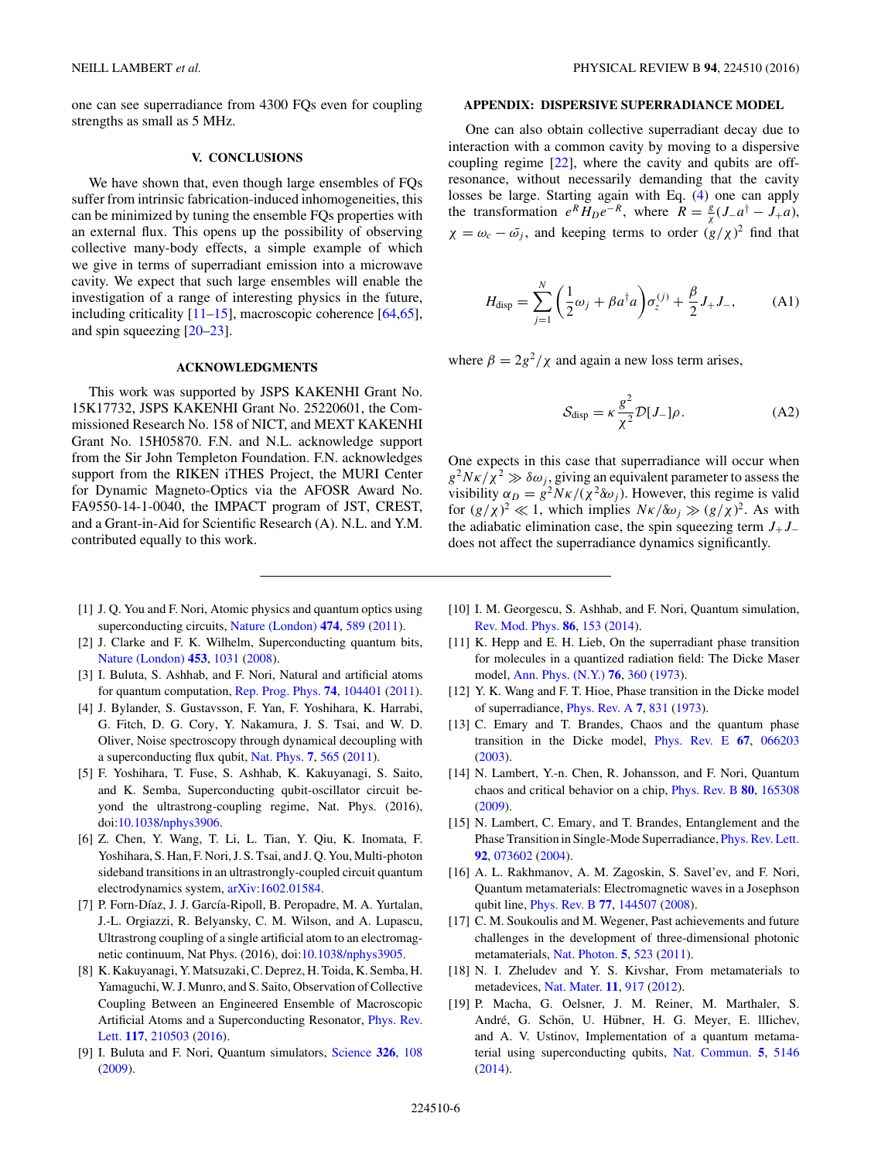<span id="page-5-0"></span>one can see superradiance from 4300 FQs even for coupling strengths as small as 5 MHz.

#### **V. CONCLUSIONS**

We have shown that, even though large ensembles of FQs suffer from intrinsic fabrication-induced inhomogeneities, this can be minimized by tuning the ensemble FQs properties with an external flux. This opens up the possibility of observing collective many-body effects, a simple example of which we give in terms of superradiant emission into a microwave cavity. We expect that such large ensembles will enable the investigation of a range of interesting physics in the future, including criticality  $[11–15]$ , macroscopic coherence  $[64,65]$ , and spin squeezing [\[20–23\]](#page-6-0).

# **ACKNOWLEDGMENTS**

This work was supported by JSPS KAKENHI Grant No. 15K17732, JSPS KAKENHI Grant No. 25220601, the Commissioned Research No. 158 of NICT, and MEXT KAKENHI Grant No. 15H05870. F.N. and N.L. acknowledge support from the Sir John Templeton Foundation. F.N. acknowledges support from the RIKEN iTHES Project, the MURI Center for Dynamic Magneto-Optics via the AFOSR Award No. FA9550-14-1-0040, the IMPACT program of JST, CREST, and a Grant-in-Aid for Scientific Research (A). N.L. and Y.M. contributed equally to this work.

- [1] J. Q. You and F. Nori, Atomic physics and quantum optics using superconducting circuits, [Nature \(London\)](https://doi.org/10.1038/nature10122) **[474](https://doi.org/10.1038/nature10122)**, [589](https://doi.org/10.1038/nature10122) [\(2011\)](https://doi.org/10.1038/nature10122).
- [2] J. Clarke and F. K. Wilhelm, Superconducting quantum bits, [Nature \(London\)](https://doi.org/10.1038/nature07128) **[453](https://doi.org/10.1038/nature07128)**, [1031](https://doi.org/10.1038/nature07128) [\(2008\)](https://doi.org/10.1038/nature07128).
- [3] I. Buluta, S. Ashhab, and F. Nori, Natural and artificial atoms for quantum computation, [Rep. Prog. Phys.](https://doi.org/10.1088/0034-4885/74/10/104401) **[74](https://doi.org/10.1088/0034-4885/74/10/104401)**, [104401](https://doi.org/10.1088/0034-4885/74/10/104401) [\(2011\)](https://doi.org/10.1088/0034-4885/74/10/104401).
- [4] J. Bylander, S. Gustavsson, F. Yan, F. Yoshihara, K. Harrabi, G. Fitch, D. G. Cory, Y. Nakamura, J. S. Tsai, and W. D. Oliver, Noise spectroscopy through dynamical decoupling with a superconducting flux qubit, [Nat. Phys.](https://doi.org/10.1038/nphys1994) **[7](https://doi.org/10.1038/nphys1994)**, [565](https://doi.org/10.1038/nphys1994) [\(2011\)](https://doi.org/10.1038/nphys1994).
- [5] F. Yoshihara, T. Fuse, S. Ashhab, K. Kakuyanagi, S. Saito, and K. Semba, Superconducting qubit-oscillator circuit beyond the ultrastrong-coupling regime, Nat. Phys. (2016), doi[:10.1038/nphys3906.](https://doi.org/10.1038/nphys3906)
- [6] Z. Chen, Y. Wang, T. Li, L. Tian, Y. Qiu, K. Inomata, F. Yoshihara, S. Han, F. Nori, J. S. Tsai, and J. Q. You, Multi-photon sideband transitions in an ultrastrongly-coupled circuit quantum electrodynamics system, [arXiv:1602.01584.](http://arxiv.org/abs/arXiv:1602.01584)
- [7] P. Forn-Díaz, J. J. García-Ripoll, B. Peropadre, M. A. Yurtalan, J.-L. Orgiazzi, R. Belyansky, C. M. Wilson, and A. Lupascu, Ultrastrong coupling of a single artificial atom to an electromagnetic continuum, Nat Phys. (2016), doi[:10.1038/nphys3905.](https://doi.org/10.1038/nphys3905)
- [8] K. Kakuyanagi, Y. Matsuzaki, C. Deprez, H. Toida, K. Semba, H. Yamaguchi, W. J. Munro, and S. Saito, Observation of Collective Coupling Between an Engineered Ensemble of Macroscopic [Artificial Atoms and a Superconducting Resonator,](https://doi.org/10.1103/PhysRevLett.117.210503) *Phys. Rev.* Lett. **[117](https://doi.org/10.1103/PhysRevLett.117.210503)**, [210503](https://doi.org/10.1103/PhysRevLett.117.210503) [\(2016\)](https://doi.org/10.1103/PhysRevLett.117.210503).
- [9] I. Buluta and F. Nori, Quantum simulators, [Science](https://doi.org/10.1126/science.1177838) **[326](https://doi.org/10.1126/science.1177838)**, [108](https://doi.org/10.1126/science.1177838) [\(2009\)](https://doi.org/10.1126/science.1177838).

## **APPENDIX: DISPERSIVE SUPERRADIANCE MODEL**

One can also obtain collective superradiant decay due to interaction with a common cavity by moving to a dispersive coupling regime [\[22\]](#page-6-0), where the cavity and qubits are offresonance, without necessarily demanding that the cavity losses be large. Starting again with Eq. [\(4\)](#page-3-0) one can apply the transformation  $e^R H_D e^{-R}$ , where  $R = \frac{g}{\chi} (J_- a^\dagger - J_+ a)$ ,  $\chi = \omega_c - \bar{\omega}_j$ , and keeping terms to order  $(g/\chi)^2$  find that

$$
H_{\text{disp}} = \sum_{j=1}^{N} \left(\frac{1}{2}\omega_j + \beta a^{\dagger} a\right) \sigma_z^{(j)} + \frac{\beta}{2} J_+ J_-, \tag{A1}
$$

where  $\beta = 2g^2/\chi$  and again a new loss term arises,

$$
S_{\rm disp} = \kappa \frac{g^2}{\chi^2} \mathcal{D}[J_{-}] \rho.
$$
 (A2)

One expects in this case that superradiance will occur when  $g^2N\kappa/\chi^2 \gg \delta\omega_i$ , giving an equivalent parameter to assess the visibility  $\alpha_D = g^2 N \kappa / (\chi^2 \delta \omega_i)$ . However, this regime is valid for  $(g/\chi)^2 \ll 1$ , which implies  $N\kappa/\delta\omega_j \gg (g/\chi)^2$ . As with the adiabatic elimination case, the spin squeezing term  $J_+J_$ does not affect the superradiance dynamics significantly.

- [10] I. M. Georgescu, S. Ashhab, and F. Nori, Quantum simulation, [Rev. Mod. Phys.](https://doi.org/10.1103/RevModPhys.86.153) **[86](https://doi.org/10.1103/RevModPhys.86.153)**, [153](https://doi.org/10.1103/RevModPhys.86.153) [\(2014\)](https://doi.org/10.1103/RevModPhys.86.153).
- [11] K. Hepp and E. H. Lieb, On the superradiant phase transition for molecules in a quantized radiation field: The Dicke Maser model, [Ann. Phys. \(N.Y.\)](https://doi.org/10.1016/0003-4916(73)90039-0) **[76](https://doi.org/10.1016/0003-4916(73)90039-0)**, [360](https://doi.org/10.1016/0003-4916(73)90039-0) [\(1973\)](https://doi.org/10.1016/0003-4916(73)90039-0).
- [12] Y. K. Wang and F. T. Hioe, Phase transition in the Dicke model of superradiance, [Phys. Rev. A](https://doi.org/10.1103/PhysRevA.7.831) **[7](https://doi.org/10.1103/PhysRevA.7.831)**, [831](https://doi.org/10.1103/PhysRevA.7.831) [\(1973\)](https://doi.org/10.1103/PhysRevA.7.831).
- [13] C. Emary and T. Brandes, Chaos and the quantum phase transition in the Dicke model, [Phys. Rev. E](https://doi.org/10.1103/PhysRevE.67.066203) **[67](https://doi.org/10.1103/PhysRevE.67.066203)**, [066203](https://doi.org/10.1103/PhysRevE.67.066203) [\(2003\)](https://doi.org/10.1103/PhysRevE.67.066203).
- [14] N. Lambert, Y.-n. Chen, R. Johansson, and F. Nori, Quantum chaos and critical behavior on a chip, [Phys. Rev. B](https://doi.org/10.1103/PhysRevB.80.165308) **[80](https://doi.org/10.1103/PhysRevB.80.165308)**, [165308](https://doi.org/10.1103/PhysRevB.80.165308) [\(2009\)](https://doi.org/10.1103/PhysRevB.80.165308).
- [15] N. Lambert, C. Emary, and T. Brandes, Entanglement and the Phase Transition in Single-Mode Superradiance, [Phys. Rev. Lett.](https://doi.org/10.1103/PhysRevLett.92.073602) **[92](https://doi.org/10.1103/PhysRevLett.92.073602)**, [073602](https://doi.org/10.1103/PhysRevLett.92.073602) [\(2004\)](https://doi.org/10.1103/PhysRevLett.92.073602).
- [16] A. L. Rakhmanov, A. M. Zagoskin, S. Savel'ev, and F. Nori, Quantum metamaterials: Electromagnetic waves in a Josephson qubit line, [Phys. Rev. B](https://doi.org/10.1103/PhysRevB.77.144507) **[77](https://doi.org/10.1103/PhysRevB.77.144507)**, [144507](https://doi.org/10.1103/PhysRevB.77.144507) [\(2008\)](https://doi.org/10.1103/PhysRevB.77.144507).
- [17] C. M. Soukoulis and M. Wegener, Past achievements and future challenges in the development of three-dimensional photonic metamaterials, [Nat. Photon.](https://doi.org/10.1038/nphoton.2011.154) **[5](https://doi.org/10.1038/nphoton.2011.154)**, [523](https://doi.org/10.1038/nphoton.2011.154) [\(2011\)](https://doi.org/10.1038/nphoton.2011.154).
- [18] N. I. Zheludev and Y. S. Kivshar, From metamaterials to metadevices, [Nat. Mater.](https://doi.org/10.1038/nmat3431) **[11](https://doi.org/10.1038/nmat3431)**, [917](https://doi.org/10.1038/nmat3431) [\(2012\)](https://doi.org/10.1038/nmat3431).
- [19] P. Macha, G. Oelsner, J. M. Reiner, M. Marthaler, S. André, G. Schön, U. Hübner, H. G. Meyer, E. Illichev, and A. V. Ustinov, Implementation of a quantum metamaterial using superconducting qubits, [Nat. Commun.](https://doi.org/10.1038/ncomms6146) **[5](https://doi.org/10.1038/ncomms6146)**, [5146](https://doi.org/10.1038/ncomms6146) [\(2014\)](https://doi.org/10.1038/ncomms6146).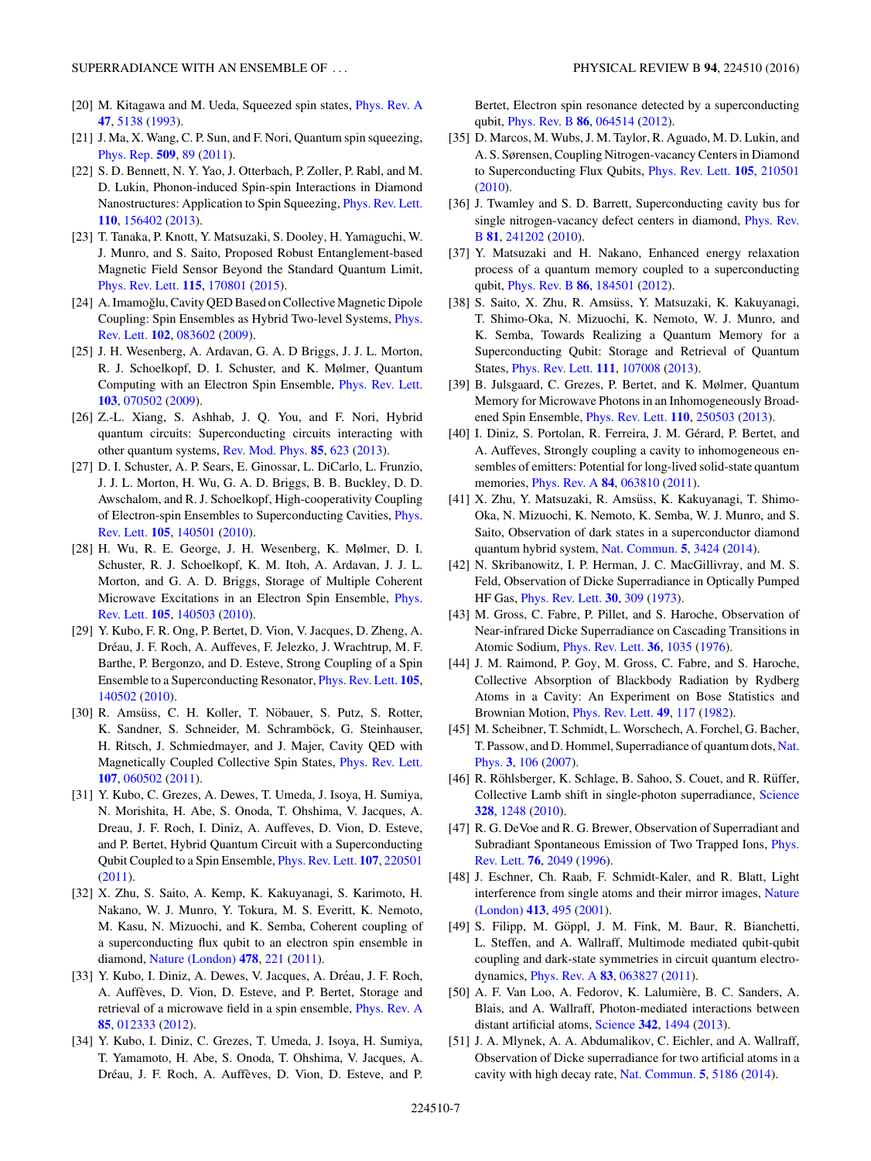- <span id="page-6-0"></span>[20] M. Kitagawa and M. Ueda, Squeezed spin states, [Phys. Rev. A](https://doi.org/10.1103/PhysRevA.47.5138) **[47](https://doi.org/10.1103/PhysRevA.47.5138)**, [5138](https://doi.org/10.1103/PhysRevA.47.5138) [\(1993\)](https://doi.org/10.1103/PhysRevA.47.5138).
- [21] J. Ma, X. Wang, C. P. Sun, and F. Nori, Quantum spin squeezing, [Phys. Rep.](https://doi.org/10.1016/j.physrep.2011.08.003) **[509](https://doi.org/10.1016/j.physrep.2011.08.003)**, [89](https://doi.org/10.1016/j.physrep.2011.08.003) [\(2011\)](https://doi.org/10.1016/j.physrep.2011.08.003).
- [22] S. D. Bennett, N. Y. Yao, J. Otterbach, P. Zoller, P. Rabl, and M. D. Lukin, Phonon-induced Spin-spin Interactions in Diamond Nanostructures: Application to Spin Squeezing, [Phys. Rev. Lett.](https://doi.org/10.1103/PhysRevLett.110.156402) **[110](https://doi.org/10.1103/PhysRevLett.110.156402)**, [156402](https://doi.org/10.1103/PhysRevLett.110.156402) [\(2013\)](https://doi.org/10.1103/PhysRevLett.110.156402).
- [23] T. Tanaka, P. Knott, Y. Matsuzaki, S. Dooley, H. Yamaguchi, W. J. Munro, and S. Saito, Proposed Robust Entanglement-based Magnetic Field Sensor Beyond the Standard Quantum Limit, [Phys. Rev. Lett.](https://doi.org/10.1103/PhysRevLett.115.170801) **[115](https://doi.org/10.1103/PhysRevLett.115.170801)**, [170801](https://doi.org/10.1103/PhysRevLett.115.170801) [\(2015\)](https://doi.org/10.1103/PhysRevLett.115.170801).
- [24] A. Imamoğlu, Cavity QED Based on Collective Magnetic Dipole [Coupling: Spin Ensembles as Hybrid Two-level Systems,](https://doi.org/10.1103/PhysRevLett.102.083602) Phys. Rev. Lett. **[102](https://doi.org/10.1103/PhysRevLett.102.083602)**, [083602](https://doi.org/10.1103/PhysRevLett.102.083602) [\(2009\)](https://doi.org/10.1103/PhysRevLett.102.083602).
- [25] J. H. Wesenberg, A. Ardavan, G. A. D Briggs, J. J. L. Morton, R. J. Schoelkopf, D. I. Schuster, and K. Mølmer, Quantum Computing with an Electron Spin Ensemble, [Phys. Rev. Lett.](https://doi.org/10.1103/PhysRevLett.103.070502) **[103](https://doi.org/10.1103/PhysRevLett.103.070502)**, [070502](https://doi.org/10.1103/PhysRevLett.103.070502) [\(2009\)](https://doi.org/10.1103/PhysRevLett.103.070502).
- [26] Z.-L. Xiang, S. Ashhab, J. Q. You, and F. Nori, Hybrid quantum circuits: Superconducting circuits interacting with other quantum systems, [Rev. Mod. Phys.](https://doi.org/10.1103/RevModPhys.85.623) **[85](https://doi.org/10.1103/RevModPhys.85.623)**, [623](https://doi.org/10.1103/RevModPhys.85.623) [\(2013\)](https://doi.org/10.1103/RevModPhys.85.623).
- [27] D. I. Schuster, A. P. Sears, E. Ginossar, L. DiCarlo, L. Frunzio, J. J. L. Morton, H. Wu, G. A. D. Briggs, B. B. Buckley, D. D. Awschalom, and R. J. Schoelkopf, High-cooperativity Coupling [of Electron-spin Ensembles to Superconducting Cavities,](https://doi.org/10.1103/PhysRevLett.105.140501) Phys. Rev. Lett. **[105](https://doi.org/10.1103/PhysRevLett.105.140501)**, [140501](https://doi.org/10.1103/PhysRevLett.105.140501) [\(2010\)](https://doi.org/10.1103/PhysRevLett.105.140501).
- [28] H. Wu, R. E. George, J. H. Wesenberg, K. Mølmer, D. I. Schuster, R. J. Schoelkopf, K. M. Itoh, A. Ardavan, J. J. L. Morton, and G. A. D. Briggs, Storage of Multiple Coherent [Microwave Excitations in an Electron Spin Ensemble,](https://doi.org/10.1103/PhysRevLett.105.140503) Phys. Rev. Lett. **[105](https://doi.org/10.1103/PhysRevLett.105.140503)**, [140503](https://doi.org/10.1103/PhysRevLett.105.140503) [\(2010\)](https://doi.org/10.1103/PhysRevLett.105.140503).
- [29] Y. Kubo, F. R. Ong, P. Bertet, D. Vion, V. Jacques, D. Zheng, A. Dréau, J. F. Roch, A. Auffeves, F. Jelezko, J. Wrachtrup, M. F. Barthe, P. Bergonzo, and D. Esteve, Strong Coupling of a Spin Ensemble to a Superconducting Resonator, [Phys. Rev. Lett.](https://doi.org/10.1103/PhysRevLett.105.140502) **[105](https://doi.org/10.1103/PhysRevLett.105.140502)**, [140502](https://doi.org/10.1103/PhysRevLett.105.140502) [\(2010\)](https://doi.org/10.1103/PhysRevLett.105.140502).
- [30] R. Amsüss, C. H. Koller, T. Nöbauer, S. Putz, S. Rotter, K. Sandner, S. Schneider, M. Schramböck, G. Steinhauser, H. Ritsch, J. Schmiedmayer, and J. Majer, Cavity QED with Magnetically Coupled Collective Spin States, [Phys. Rev. Lett.](https://doi.org/10.1103/PhysRevLett.107.060502) **[107](https://doi.org/10.1103/PhysRevLett.107.060502)**, [060502](https://doi.org/10.1103/PhysRevLett.107.060502) [\(2011\)](https://doi.org/10.1103/PhysRevLett.107.060502).
- [31] Y. Kubo, C. Grezes, A. Dewes, T. Umeda, J. Isoya, H. Sumiya, N. Morishita, H. Abe, S. Onoda, T. Ohshima, V. Jacques, A. Dreau, J. F. Roch, I. Diniz, A. Auffeves, D. Vion, D. Esteve, and P. Bertet, Hybrid Quantum Circuit with a Superconducting Qubit Coupled to a Spin Ensemble, [Phys. Rev. Lett.](https://doi.org/10.1103/PhysRevLett.107.220501) **[107](https://doi.org/10.1103/PhysRevLett.107.220501)**, [220501](https://doi.org/10.1103/PhysRevLett.107.220501) [\(2011\)](https://doi.org/10.1103/PhysRevLett.107.220501).
- [32] X. Zhu, S. Saito, A. Kemp, K. Kakuyanagi, S. Karimoto, H. Nakano, W. J. Munro, Y. Tokura, M. S. Everitt, K. Nemoto, M. Kasu, N. Mizuochi, and K. Semba, Coherent coupling of a superconducting flux qubit to an electron spin ensemble in diamond, [Nature \(London\)](https://doi.org/10.1038/nature10462) **[478](https://doi.org/10.1038/nature10462)**, [221](https://doi.org/10.1038/nature10462) [\(2011\)](https://doi.org/10.1038/nature10462).
- [33] Y. Kubo, I. Diniz, A. Dewes, V. Jacques, A. Dréau, J. F. Roch, A. Auffèves, D. Vion, D. Esteve, and P. Bertet, Storage and retrieval of a microwave field in a spin ensemble, [Phys. Rev. A](https://doi.org/10.1103/PhysRevA.85.012333) **[85](https://doi.org/10.1103/PhysRevA.85.012333)**, [012333](https://doi.org/10.1103/PhysRevA.85.012333) [\(2012\)](https://doi.org/10.1103/PhysRevA.85.012333).
- [34] Y. Kubo, I. Diniz, C. Grezes, T. Umeda, J. Isoya, H. Sumiya, T. Yamamoto, H. Abe, S. Onoda, T. Ohshima, V. Jacques, A. Dréau, J. F. Roch, A. Auffèves, D. Vion, D. Esteve, and P.

Bertet, Electron spin resonance detected by a superconducting qubit, [Phys. Rev. B](https://doi.org/10.1103/PhysRevB.86.064514) **[86](https://doi.org/10.1103/PhysRevB.86.064514)**, [064514](https://doi.org/10.1103/PhysRevB.86.064514) [\(2012\)](https://doi.org/10.1103/PhysRevB.86.064514).

- [35] D. Marcos, M. Wubs, J. M. Taylor, R. Aguado, M. D. Lukin, and A. S. Sørensen, Coupling Nitrogen-vacancy Centers in Diamond to Superconducting Flux Qubits, [Phys. Rev. Lett.](https://doi.org/10.1103/PhysRevLett.105.210501) **[105](https://doi.org/10.1103/PhysRevLett.105.210501)**, [210501](https://doi.org/10.1103/PhysRevLett.105.210501) [\(2010\)](https://doi.org/10.1103/PhysRevLett.105.210501).
- [36] J. Twamley and S. D. Barrett, Superconducting cavity bus for [single nitrogen-vacancy defect centers in diamond,](https://doi.org/10.1103/PhysRevB.81.241202) Phys. Rev. B **[81](https://doi.org/10.1103/PhysRevB.81.241202)**, [241202](https://doi.org/10.1103/PhysRevB.81.241202) [\(2010\)](https://doi.org/10.1103/PhysRevB.81.241202).
- [37] Y. Matsuzaki and H. Nakano, Enhanced energy relaxation process of a quantum memory coupled to a superconducting qubit, [Phys. Rev. B](https://doi.org/10.1103/PhysRevB.86.184501) **[86](https://doi.org/10.1103/PhysRevB.86.184501)**, [184501](https://doi.org/10.1103/PhysRevB.86.184501) [\(2012\)](https://doi.org/10.1103/PhysRevB.86.184501).
- [38] S. Saito, X. Zhu, R. Amsüss, Y. Matsuzaki, K. Kakuyanagi, T. Shimo-Oka, N. Mizuochi, K. Nemoto, W. J. Munro, and K. Semba, Towards Realizing a Quantum Memory for a Superconducting Qubit: Storage and Retrieval of Quantum States, [Phys. Rev. Lett.](https://doi.org/10.1103/PhysRevLett.111.107008) **[111](https://doi.org/10.1103/PhysRevLett.111.107008)**, [107008](https://doi.org/10.1103/PhysRevLett.111.107008) [\(2013\)](https://doi.org/10.1103/PhysRevLett.111.107008).
- [39] B. Julsgaard, C. Grezes, P. Bertet, and K. Mølmer, Quantum Memory for Microwave Photons in an Inhomogeneously Broadened Spin Ensemble, [Phys. Rev. Lett.](https://doi.org/10.1103/PhysRevLett.110.250503) **[110](https://doi.org/10.1103/PhysRevLett.110.250503)**, [250503](https://doi.org/10.1103/PhysRevLett.110.250503) [\(2013\)](https://doi.org/10.1103/PhysRevLett.110.250503).
- [40] I. Diniz, S. Portolan, R. Ferreira, J. M. Gérard, P. Bertet, and A. Auffeves, Strongly coupling a cavity to inhomogeneous ensembles of emitters: Potential for long-lived solid-state quantum memories, [Phys. Rev. A](https://doi.org/10.1103/PhysRevA.84.063810) **[84](https://doi.org/10.1103/PhysRevA.84.063810)**, [063810](https://doi.org/10.1103/PhysRevA.84.063810) [\(2011\)](https://doi.org/10.1103/PhysRevA.84.063810).
- [41] X. Zhu, Y. Matsuzaki, R. Amsüss, K. Kakuyanagi, T. Shimo-Oka, N. Mizuochi, K. Nemoto, K. Semba, W. J. Munro, and S. Saito, Observation of dark states in a superconductor diamond quantum hybrid system, [Nat. Commun.](https://doi.org/10.1038/ncomms4524) **[5](https://doi.org/10.1038/ncomms4524)**, [3424](https://doi.org/10.1038/ncomms4524) [\(2014\)](https://doi.org/10.1038/ncomms4524).
- [42] N. Skribanowitz, I. P. Herman, J. C. MacGillivray, and M. S. Feld, Observation of Dicke Superradiance in Optically Pumped HF Gas, [Phys. Rev. Lett.](https://doi.org/10.1103/PhysRevLett.30.309) **[30](https://doi.org/10.1103/PhysRevLett.30.309)**, [309](https://doi.org/10.1103/PhysRevLett.30.309) [\(1973\)](https://doi.org/10.1103/PhysRevLett.30.309).
- [43] M. Gross, C. Fabre, P. Pillet, and S. Haroche, Observation of Near-infrared Dicke Superradiance on Cascading Transitions in Atomic Sodium, [Phys. Rev. Lett.](https://doi.org/10.1103/PhysRevLett.36.1035) **[36](https://doi.org/10.1103/PhysRevLett.36.1035)**, [1035](https://doi.org/10.1103/PhysRevLett.36.1035) [\(1976\)](https://doi.org/10.1103/PhysRevLett.36.1035).
- [44] J. M. Raimond, P. Goy, M. Gross, C. Fabre, and S. Haroche, Collective Absorption of Blackbody Radiation by Rydberg Atoms in a Cavity: An Experiment on Bose Statistics and Brownian Motion, [Phys. Rev. Lett.](https://doi.org/10.1103/PhysRevLett.49.117) **[49](https://doi.org/10.1103/PhysRevLett.49.117)**, [117](https://doi.org/10.1103/PhysRevLett.49.117) [\(1982\)](https://doi.org/10.1103/PhysRevLett.49.117).
- [45] M. Scheibner, T. Schmidt, L. Worschech, A. Forchel, G. Bacher, [T. Passow, and D. Hommel, Superradiance of quantum dots,](https://doi.org/10.1038/nphys494) Nat. Phys. **[3](https://doi.org/10.1038/nphys494)**, [106](https://doi.org/10.1038/nphys494) [\(2007\)](https://doi.org/10.1038/nphys494).
- [46] R. Röhlsberger, K. Schlage, B. Sahoo, S. Couet, and R. Rüffer, Collective Lamb shift in single-photon superradiance, [Science](https://doi.org/10.1126/science.1187770) **[328](https://doi.org/10.1126/science.1187770)**, [1248](https://doi.org/10.1126/science.1187770) [\(2010\)](https://doi.org/10.1126/science.1187770).
- [47] R. G. DeVoe and R. G. Brewer, Observation of Superradiant and [Subradiant Spontaneous Emission of Two Trapped Ions,](https://doi.org/10.1103/PhysRevLett.76.2049) Phys. Rev. Lett. **[76](https://doi.org/10.1103/PhysRevLett.76.2049)**, [2049](https://doi.org/10.1103/PhysRevLett.76.2049) [\(1996\)](https://doi.org/10.1103/PhysRevLett.76.2049).
- [48] J. Eschner, Ch. Raab, F. Schmidt-Kaler, and R. Blatt, Light [interference from single atoms and their mirror images,](https://doi.org/10.1038/35097017) Nature (London) **[413](https://doi.org/10.1038/35097017)**, [495](https://doi.org/10.1038/35097017) [\(2001\)](https://doi.org/10.1038/35097017).
- [49] S. Filipp, M. Göppl, J. M. Fink, M. Baur, R. Bianchetti, L. Steffen, and A. Wallraff, Multimode mediated qubit-qubit coupling and dark-state symmetries in circuit quantum electrodynamics, [Phys. Rev. A](https://doi.org/10.1103/PhysRevA.83.063827) **[83](https://doi.org/10.1103/PhysRevA.83.063827)**, [063827](https://doi.org/10.1103/PhysRevA.83.063827) [\(2011\)](https://doi.org/10.1103/PhysRevA.83.063827).
- [50] A. F. Van Loo, A. Fedorov, K. Lalumiere, B. C. Sanders, A. ` Blais, and A. Wallraff, Photon-mediated interactions between distant artificial atoms, [Science](https://doi.org/10.1126/science.1244324) **[342](https://doi.org/10.1126/science.1244324)**, [1494](https://doi.org/10.1126/science.1244324) [\(2013\)](https://doi.org/10.1126/science.1244324).
- [51] J. A. Mlynek, A. A. Abdumalikov, C. Eichler, and A. Wallraff, Observation of Dicke superradiance for two artificial atoms in a cavity with high decay rate, [Nat. Commun.](https://doi.org/10.1038/ncomms6186) **[5](https://doi.org/10.1038/ncomms6186)**, [5186](https://doi.org/10.1038/ncomms6186) [\(2014\)](https://doi.org/10.1038/ncomms6186).